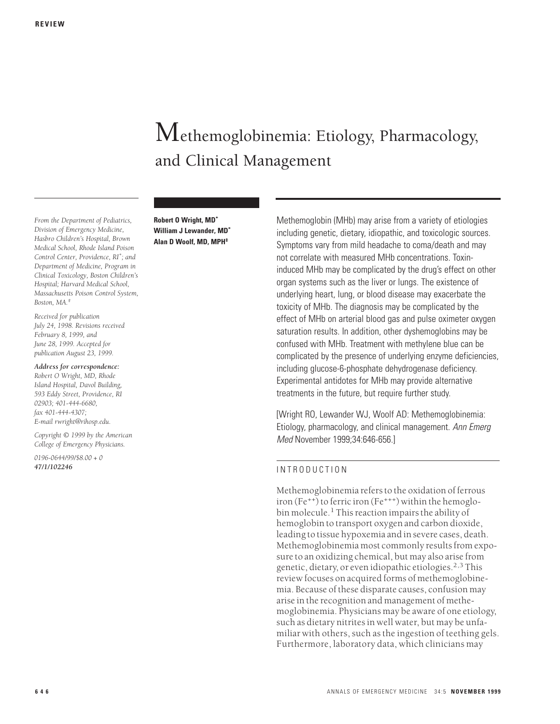# Methemoglobinemia: Etiology, Pharmacology, and Clinical Management

*From the Department of Pediatrics, Division of Emergency Medicine, Hasbro Children's Hospital, Brown Medical School, Rhode Island Poison Control Center, Providence, RI\* ; and Department of Medicine, Program in Clinical Toxicology, Boston Children's Hospital; Harvard Medical School, Massachusetts Poison Control System, Boston, MA.‡*

*Received for publication July 24, 1998. Revisions received February 8, 1999, and June 28, 1999. Accepted for publication August 23, 1999.*

*Address for correspondence: Robert O Wright, MD, Rhode Island Hospital, Davol Building, 593 Eddy Street, Providence, RI 02903; 401-444-6680, fax 401-444-4307; E-mail rwright@rihosp.edu.*

*Copyright © 1999 by the American College of Emergency Physicians.*

*0196-0644/99/\$8.00 + 0 47/1/102246*

**Robert O Wright, MD\* William J Lewander, MD\* Alan D Woolf, MD, MPH‡**

Methemoglobin (MHb) may arise from a variety of etiologies including genetic, dietary, idiopathic, and toxicologic sources. Symptoms vary from mild headache to coma/death and may not correlate with measured MHb concentrations. Toxininduced MHb may be complicated by the drug's effect on other organ systems such as the liver or lungs. The existence of underlying heart, lung, or blood disease may exacerbate the toxicity of MHb. The diagnosis may be complicated by the effect of MHb on arterial blood gas and pulse oximeter oxygen saturation results. In addition, other dyshemoglobins may be confused with MHb. Treatment with methylene blue can be complicated by the presence of underlying enzyme deficiencies, including glucose-6-phosphate dehydrogenase deficiency. Experimental antidotes for MHb may provide alternative treatments in the future, but require further study.

[Wright RO, Lewander WJ, Woolf AD: Methemoglobinemia: Etiology, pharmacology, and clinical management. Ann Emerg Med November 1999;34:646-656.]

# INTRODUCTION

Methemoglobinemia refers to the oxidation of ferrous iron (Fe++) to ferric iron (Fe+++) within the hemoglobin molecule.<sup>1</sup> This reaction impairs the ability of hemoglobin to transport oxygen and carbon dioxide, leading to tissue hypoxemia and in severe cases, death. Methemoglobinemia most commonly results from exposure to an oxidizing chemical, but may also arise from genetic, dietary, or even idiopathic etiologies.2,3 This review focuses on acquired forms of methemoglobinemia. Because of these disparate causes, confusion may arise in the recognition and management of methemoglobinemia. Physicians may be aware of one etiology, such as dietary nitrites in well water, but may be unfamiliar with others, such as the ingestion of teething gels. Furthermore, laboratory data, which clinicians may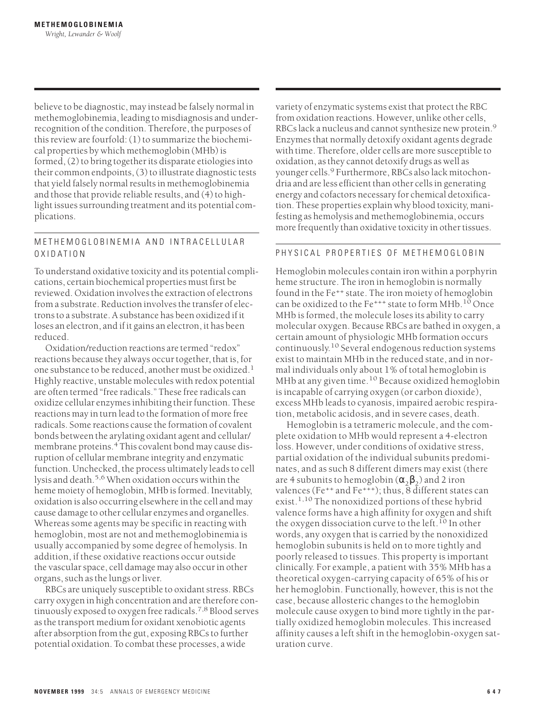believe to be diagnostic, may instead be falsely normal in methemoglobinemia, leading to misdiagnosis and underrecognition of the condition. Therefore, the purposes of this review are fourfold: (1) to summarize the biochemical properties by which methemoglobin (MHb) is formed, (2) to bring together its disparate etiologies into their common endpoints, (3) to illustrate diagnostic tests that yield falsely normal results in methemoglobinemia and those that provide reliable results, and (4) to highlight issues surrounding treatment and its potential complications.

# METHEMOGLOBINEMIA AND INTRACELLULAR OXIDATION

To understand oxidative toxicity and its potential complications, certain biochemical properties must first be reviewed. Oxidation involves the extraction of electrons from a substrate. Reduction involves the transfer of electrons to a substrate. A substance has been oxidized if it loses an electron, and if it gains an electron, it has been reduced.

Oxidation/reduction reactions are termed "redox" reactions because they always occur together, that is, for one substance to be reduced, another must be oxidized.<sup>1</sup> Highly reactive, unstable molecules with redox potential are often termed "free radicals." These free radicals can oxidize cellular enzymes inhibiting their function. These reactions may in turn lead to the formation of more free radicals. Some reactions cause the formation of covalent bonds between the arylating oxidant agent and cellular/ membrane proteins.<sup>4</sup> This covalent bond may cause disruption of cellular membrane integrity and enzymatic function. Unchecked, the process ultimately leads to cell lysis and death.5,6When oxidation occurs within the heme moiety of hemoglobin, MHb is formed. Inevitably, oxidation is also occurring elsewhere in the cell and may cause damage to other cellular enzymes and organelles. Whereas some agents may be specific in reacting with hemoglobin, most are not and methemoglobinemia is usually accompanied by some degree of hemolysis. In addition, if these oxidative reactions occur outside the vascular space, cell damage may also occur in other organs, such as the lungs or liver.

RBCs are uniquely susceptible to oxidant stress. RBCs carry oxygen in high concentration and are therefore continuously exposed to oxygen free radicals.7,8 Blood serves as the transport medium for oxidant xenobiotic agents after absorption from the gut, exposing RBCs to further potential oxidation. To combat these processes, a wide

variety of enzymatic systems exist that protect the RBC from oxidation reactions. However, unlike other cells, RBCs lack a nucleus and cannot synthesize new protein.<sup>9</sup> Enzymes that normally detoxify oxidant agents degrade with time. Therefore, older cells are more susceptible to oxidation, as they cannot detoxify drugs as well as younger cells.<sup>9</sup> Furthermore, RBCs also lack mitochondria and are less efficient than other cells in generating energy and cofactors necessary for chemical detoxification. These properties explain why blood toxicity, manifesting as hemolysis and methemoglobinemia, occurs more frequently than oxidative toxicity in other tissues.

#### PHYSICAL PROPERTIES OF METHEMOGLOBIN

Hemoglobin molecules contain iron within a porphyrin heme structure. The iron in hemoglobin is normally found in the Fe<sup>++</sup> state. The iron moiety of hemoglobin can be oxidized to the Fe<sup>+++</sup> state to form MHb.<sup>10</sup> Once MHb is formed, the molecule loses its ability to carry molecular oxygen. Because RBCs are bathed in oxygen, a certain amount of physiologic MHb formation occurs continuously.<sup>10</sup> Several endogenous reduction systems exist to maintain MHb in the reduced state, and in normal individuals only about 1% of total hemoglobin is MHb at any given time.<sup>10</sup> Because oxidized hemoglobin is incapable of carrying oxygen (or carbon dioxide), excess MHb leads to cyanosis, impaired aerobic respiration, metabolic acidosis, and in severe cases, death.

Hemoglobin is a tetrameric molecule, and the complete oxidation to MHb would represent a 4-electron loss. However, under conditions of oxidative stress, partial oxidation of the individual subunits predominates, and as such 8 different dimers may exist (there are 4 subunits to hemoglobin  $(\alpha, \beta)$  and 2 iron valences (Fe<sup>++</sup> and Fe<sup>+++</sup>); thus,  $\overline{8}$  different states can exist.<sup>1,10</sup> The nonoxidized portions of these hybrid valence forms have a high affinity for oxygen and shift the oxygen dissociation curve to the left.<sup>10</sup> In other words, any oxygen that is carried by the nonoxidized hemoglobin subunits is held on to more tightly and poorly released to tissues. This property is important clinically. For example, a patient with 35% MHb has a theoretical oxygen-carrying capacity of 65% of his or her hemoglobin. Functionally, however, this is not the case, because allosteric changes to the hemoglobin molecule cause oxygen to bind more tightly in the partially oxidized hemoglobin molecules. This increased affinity causes a left shift in the hemoglobin-oxygen saturation curve.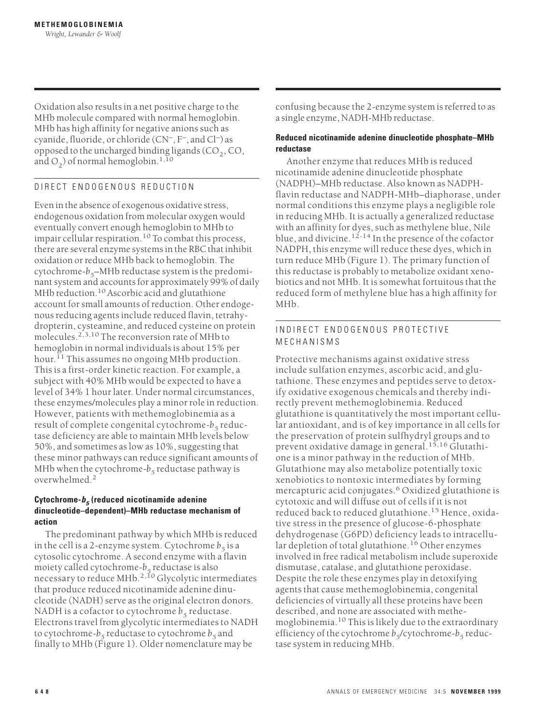Oxidation also results in a net positive charge to the MHb molecule compared with normal hemoglobin. MHb has high affinity for negative anions such as cyanide, fluoride, or chloride (CN–, F–, and Cl–) as opposed to the uncharged binding ligands ( $CO<sub>2</sub>$ , CO, and  $O_2$ ) of normal hemoglobin.<sup>1,10</sup>

# DIRECT ENDOGENOUS REDUCTION

Even in the absence of exogenous oxidative stress, endogenous oxidation from molecular oxygen would eventually convert enough hemoglobin to MHb to impair cellular respiration.<sup>10</sup> To combat this process, there are several enzyme systems in the RBC that inhibit oxidation or reduce MHb back to hemoglobin. The cytochrome- $b_5$ –MHb reductase system is the predominant system and accounts for approximately 99% of daily MHb reduction.<sup>10</sup> Ascorbic acid and glutathione account for small amounts of reduction. Other endogenous reducing agents include reduced flavin, tetrahydropterin, cysteamine, and reduced cysteine on protein molecules.2,3,10 The reconversion rate of MHb to hemoglobin in normal individuals is about 15% per hour.<sup>11</sup> This assumes no ongoing MHb production. This is a first-order kinetic reaction. For example, a subject with 40% MHb would be expected to have a level of 34% 1 hour later. Under normal circumstances, these enzymes/molecules play a minor role in reduction. However, patients with methemoglobinemia as a result of complete congenital cytochrome- $b<sub>5</sub>$  reductase deficiency are able to maintain MHb levels below 50%, and sometimes as low as 10%, suggesting that these minor pathways can reduce significant amounts of MHb when the cytochrome- $b<sub>5</sub>$  reductase pathway is overwhelmed.<sup>2</sup>

# **Cytochrome-b<sup>5</sup> (reduced nicotinamide adenine dinucleotide–dependent)–MHb reductase mechanism of action**

The predominant pathway by which MHb is reduced in the cell is a 2-enzyme system. Cytochrome  $b<sub>5</sub>$  is a cytosolic cytochrome. A second enzyme with a flavin moiety called cytochrome- $b<sub>5</sub>$  reductase is also necessary to reduce MHb.<sup>2,10</sup> Glycolytic intermediates that produce reduced nicotinamide adenine dinucleotide (NADH) serve as the original electron donors. NADH is a cofactor to cytochrome  $b_5$  reductase. Electrons travel from glycolytic intermediates to NADH to cytochrome- $b_5$  reductase to cytochrome  $b_5$  and finally to MHb (Figure 1). Older nomenclature may be

confusing because the 2-enzyme system is referred to as a single enzyme, NADH-MHb reductase.

# **Reduced nicotinamide adenine dinucleotide phosphate–MHb reductase**

Another enzyme that reduces MHb is reduced nicotinamide adenine dinucleotide phosphate (NADPH)–MHb reductase. Also known as NADPHflavin reductase and NADPH-MHb–diaphorase, under normal conditions this enzyme plays a negligible role in reducing MHb. It is actually a generalized reductase with an affinity for dyes, such as methylene blue, Nile blue, and divicine.<sup>12-14</sup> In the presence of the cofactor NADPH, this enzyme will reduce these dyes, which in turn reduce MHb (Figure 1). The primary function of this reductase is probably to metabolize oxidant xenobiotics and not MHb. It is somewhat fortuitous that the reduced form of methylene blue has a high affinity for MHb.

# INDIRECT ENDOGENOUS PROTECTIVE MECHANISMS

Protective mechanisms against oxidative stress include sulfation enzymes, ascorbic acid, and glutathione. These enzymes and peptides serve to detoxify oxidative exogenous chemicals and thereby indirectly prevent methemoglobinemia. Reduced glutathione is quantitatively the most important cellular antioxidant, and is of key importance in all cells for the preservation of protein sulfhydryl groups and to prevent oxidative damage in general.15,16 Glutathione is a minor pathway in the reduction of MHb. Glutathione may also metabolize potentially toxic xenobiotics to nontoxic intermediates by forming mercapturic acid conjugates.<sup>6</sup> Oxidized glutathione is cytotoxic and will diffuse out of cells if it is not reduced back to reduced glutathione.<sup>15</sup> Hence, oxidative stress in the presence of glucose-6-phosphate dehydrogenase (G6PD) deficiency leads to intracellular depletion of total glutathione.<sup>16</sup> Other enzymes involved in free radical metabolism include superoxide dismutase, catalase, and glutathione peroxidase. Despite the role these enzymes play in detoxifying agents that cause methemoglobinemia, congenital deficiencies of virtually all these proteins have been described, and none are associated with methemoglobinemia.<sup>10</sup> This is likely due to the extraordinary efficiency of the cytochrome  $b<sub>5</sub>$ /cytochrome- $b<sub>5</sub>$  reductase system in reducing MHb.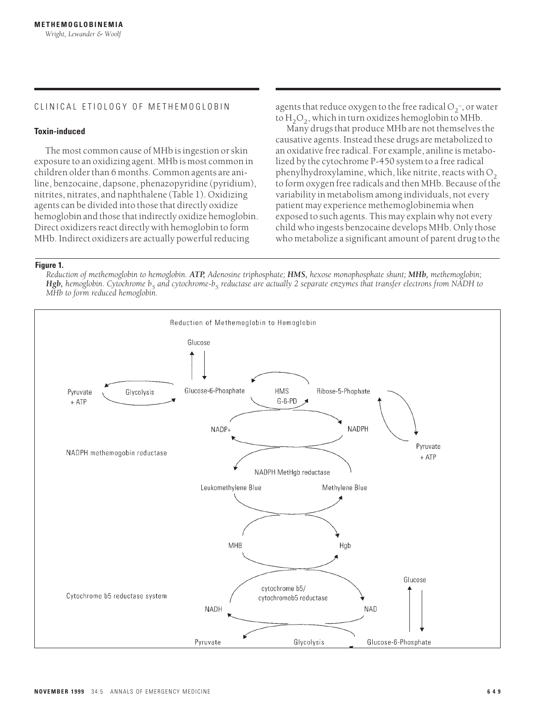# CLINICAL ETIOLOGY OF METHEMOGLOBIN

#### **Toxin-induced**

The most common cause of MHb is ingestion or skin exposure to an oxidizing agent. MHb is most common in children older than 6 months. Common agents are aniline, benzocaine, dapsone, phenazopyridine (pyridium), nitrites, nitrates, and naphthalene (Table 1). Oxidizing agents can be divided into those that directly oxidize hemoglobin and those that indirectly oxidize hemoglobin. Direct oxidizers react directly with hemoglobin to form MHb. Indirect oxidizers are actually powerful reducing

agents that reduce oxygen to the free radical  $O_2^-$ , or water to  $H_2O_2$ , which in turn oxidizes hemoglobin to MHb.

Many drugs that produce MHb are not themselves the causative agents. Instead these drugs are metabolized to an oxidative free radical. For example, aniline is metabolized by the cytochrome P-450 system to a free radical phenylhydroxylamine, which, like nitrite, reacts with  $O<sub>2</sub>$ to form oxygen free radicals and then MHb. Because of the variability in metabolism among individuals, not every patient may experience methemoglobinemia when exposed to such agents. This may explain why not every child who ingests benzocaine develops MHb. Only those who metabolize a significant amount of parent drug to the

**Figure 1.**

*Reduction of methemoglobin to hemoglobin. ATP, Adenosine triphosphate; HMS, hexose monophosphate shunt; MHb, methemoglobin; Hgb, hemoglobin. Cytochrome b<sub>5</sub> and cytochrome-b<sub>5</sub> reductase are actually 2 separate enzymes that transfer electrons from NADH to MHb to form reduced hemoglobin.*

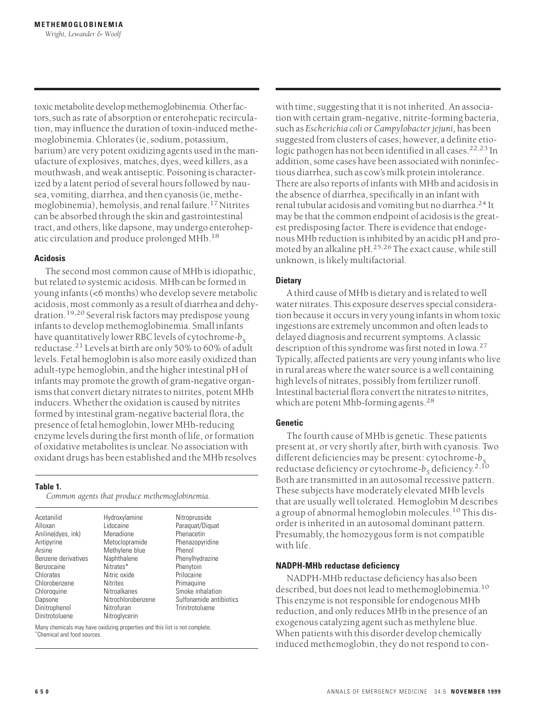toxic metabolite develop methemoglobinemia. Other factors, such as rate of absorption or enterohepatic recirculation, may influence the duration of toxin-induced methemoglobinemia. Chlorates (ie, sodium, potassium, barium) are very potent oxidizing agents used in the manufacture of explosives, matches, dyes, weed killers, as a mouthwash, and weak antiseptic*.* Poisoning is characterized by a latent period of several hours followed by nausea, vomiting, diarrhea, and then cyanosis (ie, methemoglobinemia), hemolysis, and renal failure.17 Nitrites can be absorbed through the skin and gastrointestinal tract, and others, like dapsone, may undergo enterohepatic circulation and produce prolonged MHb.<sup>18</sup>

#### **Acidosis**

The second most common cause of MHb is idiopathic, but related to systemic acidosis. MHb can be formed in young infants (<6 months) who develop severe metabolic acidosis, most commonly as a result of diarrhea and dehydration.19,20 Several risk factors may predispose young infants to develop methemoglobinemia. Small infants have quantitatively lower RBC levels of cytochrome- $b<sub>5</sub>$ reductase.<sup>21</sup> Levels at birth are only 50% to 60% of adult levels. Fetal hemoglobin is also more easily oxidized than adult-type hemoglobin, and the higher intestinal pH of infants may promote the growth of gram-negative organisms that convert dietary nitrates to nitrites, potent MHb inducers. Whether the oxidation is caused by nitrites formed by intestinal gram-negative bacterial flora, the presence of fetal hemoglobin, lower MHb-reducing enzyme levels during the first month of life, or formation of oxidative metabolites is unclear. No association with oxidant drugs has been established and the MHb resolves

#### **Table 1.**

*Common agents that produce methemoglobinemia.*

| Acetanilid<br>Alloxan<br>Aniline(dyes, ink)<br>Antipyrine<br>Arsine<br>Benzene derivatives<br>Benzocaine<br>Chlorates | Hydroxylamine<br>Lidocaine<br><b>Menadione</b><br>Metoclopramide<br>Methylene blue<br>Naphthalene<br>Nitrates*<br>Nitric oxide | Nitroprusside<br>Paraquat/Diquat<br>Phenacetin<br>Phenazopyridine<br>Phenol<br>Phenylhydrazine<br>Phenytoin<br>Prilocaine |
|-----------------------------------------------------------------------------------------------------------------------|--------------------------------------------------------------------------------------------------------------------------------|---------------------------------------------------------------------------------------------------------------------------|
| Chlorobenzene                                                                                                         | <b>Nitrites</b>                                                                                                                | Primaguine                                                                                                                |
| Chloroquine                                                                                                           | <b>Nitroalkanes</b>                                                                                                            | Smoke inhalation                                                                                                          |
| Dapsone<br>Dinitrophenol                                                                                              | Nitrochlorobenzene<br>Nitrofuran                                                                                               | Sulfonamide antibiotics<br>Trinitrotoluene                                                                                |
| Dinitrotoluene                                                                                                        | Nitroglycerin                                                                                                                  |                                                                                                                           |

Many chemicals may have oxidizing properties and this list is not complete. \* Chemical and food sources.

with time, suggesting that it is not inherited. An association with certain gram-negative, nitrite-forming bacteria, such as *Escherichia coli* or *Campylobacter jejuni,* has been suggested from clusters of cases; however, a definite etiologic pathogen has not been identified in all cases.<sup>22,23</sup> In addition, some cases have been associated with noninfectious diarrhea, such as cow's milk protein intolerance. There are also reports of infants with MHb and acidosis in the absence of diarrhea, specifically in an infant with renal tubular acidosis and vomiting but no diarrhea.<sup>24</sup> It may be that the common endpoint of acidosis is the greatest predisposing factor. There is evidence that endogenous MHb reduction is inhibited by an acidic pH and promoted by an alkaline pH.25,26 The exact cause, while still unknown, is likely multifactorial.

## **Dietary**

A third cause of MHb is dietary and is related to well water nitrates. This exposure deserves special consideration because it occurs in very young infants in whom toxic ingestions are extremely uncommon and often leads to delayed diagnosis and recurrent symptoms. A classic description of this syndrome was first noted in Iowa.<sup>27</sup> Typically, affected patients are very young infants who live in rural areas where the water source is a well containing high levels of nitrates, possibly from fertilizer runoff. Intestinal bacterial flora convert the nitrates to nitrites, which are potent Mhb-forming agents.<sup>28</sup>

## **Genetic**

The fourth cause of MHb is genetic. These patients present at, or very shortly after, birth with cyanosis. Two different deficiencies may be present: cytochrome- $b<sub>5</sub>$ reductase deficiency or cytochrome- $b_5$  deficiency.<sup>2,10</sup> Both are transmitted in an autosomal recessive pattern. These subjects have moderately elevated MHb levels that are usually well tolerated. Hemoglobin M describes a group of abnormal hemoglobin molecules.<sup>10</sup> This disorder is inherited in an autosomal dominant pattern. Presumably, the homozygous form is not compatible with life.

#### **NADPH-MHb reductase deficiency**

NADPH-MHb reductase deficiency has also been described, but does not lead to methemoglobinemia.<sup>10</sup> This enzyme is not responsible for endogenous MHb reduction, and only reduces MHb in the presence of an exogenous catalyzing agent such as methylene blue. When patients with this disorder develop chemically induced methemoglobin, they do not respond to con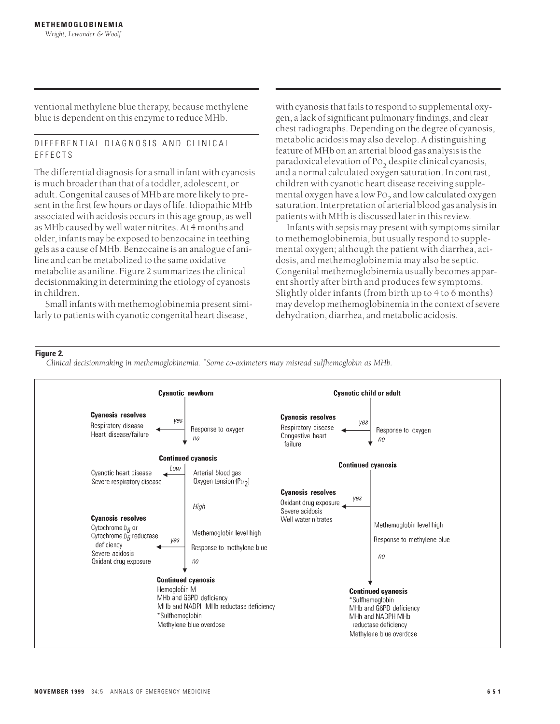ventional methylene blue therapy, because methylene blue is dependent on this enzyme to reduce MHb.

# DIFFERENTIAL DIAGNOSIS AND CLINICAL EFFECTS

The differential diagnosis for a small infant with cyanosis is much broader than that of a toddler, adolescent, or adult. Congenital causes of MHb are more likely to present in the first few hours or days of life. Idiopathic MHb associated with acidosis occurs in this age group, as well as MHb caused by well water nitrites. At 4 months and older, infants may be exposed to benzocaine in teething gels as a cause of MHb. Benzocaine is an analogue of aniline and can be metabolized to the same oxidative metabolite as aniline. Figure 2 summarizes the clinical decisionmaking in determining the etiology of cyanosis in children.

Small infants with methemoglobinemia present similarly to patients with cyanotic congenital heart disease,

with cyanosis that fails to respond to supplemental oxygen, a lack of significant pulmonary findings, and clear chest radiographs. Depending on the degree of cyanosis, metabolic acidosis may also develop. A distinguishing feature of MHb on an arterial blood gas analysis is the paradoxical elevation of P $O<sub>2</sub>$  despite clinical cyanosis, and a normal calculated oxygen saturation. In contrast, children with cyanotic heart disease receiving supplemental oxygen have a low  $P_0$  and low calculated oxygen saturation. Interpretation of arterial blood gas analysis in patients with MHb is discussed later in this review.

Infants with sepsis may present with symptoms similar to methemoglobinemia, but usually respond to supplemental oxygen; although the patient with diarrhea, acidosis, and methemoglobinemia may also be septic. Congenital methemoglobinemia usually becomes apparent shortly after birth and produces few symptoms. Slightly older infants (from birth up to 4 to 6 months) may develop methemoglobinemia in the context of severe dehydration, diarrhea, and metabolic acidosis.

#### **Figure 2.**

*Clinical decisionmaking in methemoglobinemia. \*Some co-oximeters may misread sulfhemoglobin as MHb.*

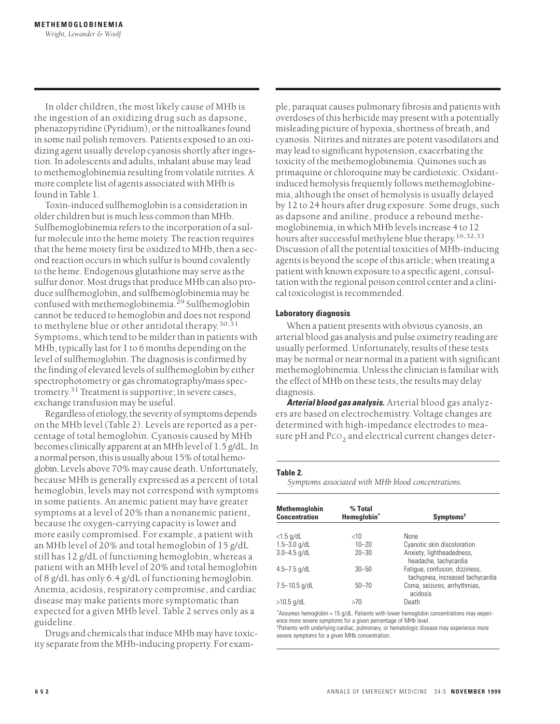In older children, the most likely cause of MHb is the ingestion of an oxidizing drug such as dapsone, phenazopyridine (Pyridium), or the nitroalkanes found in some nail polish removers. Patients exposed to an oxidizing agent usually develop cyanosis shortly after ingestion. In adolescents and adults, inhalant abuse may lead to methemoglobinemia resulting from volatile nitrites*.* A more complete list of agents associated with MHb is found in Table 1.

Toxin-induced sulfhemoglobin is a consideration in older children but is much less common than MHb. Sulfhemoglobinemia refers to the incorporation of a sulfur molecule into the heme moiety. The reaction requires that the heme moiety first be oxidized to MHb, then a second reaction occurs in which sulfur is bound covalently to the heme. Endogenous glutathione may serve as the sulfur donor. Most drugs that produce MHb can also produce sulfhemoglobin, and sulfhemoglobinemia may be confused with methemoglobinemia.<sup>29</sup> Sulfhemoglobin cannot be reduced to hemoglobin and does not respond to methylene blue or other antidotal therapy.<sup>30,31</sup> Symptoms, which tend to be milder than in patients with MHb, typically last for 1 to 6 months depending on the level of sulfhemoglobin. The diagnosis is confirmed by the finding of elevated levels of sulfhemoglobin by either spectrophotometry or gas chromatography/mass spectrometry.<sup>31</sup> Treatment is supportive; in severe cases, exchange transfusion may be useful.

Regardless of etiology, the severity of symptoms depends on the MHb level (Table 2). Levels are reported as a percentage of total hemoglobin. Cyanosis caused by MHb becomes clinically apparent at an MHb level of 1.5 g/dL. In a normal person, this is usually about 15% of total hemoglobin.Levels above 70% may cause death. Unfortunately, because MHb is generally expressed as a percent of total hemoglobin, levels may not correspond with symptoms in some patients. An anemic patient may have greater symptoms at a level of 20% than a nonanemic patient, because the oxygen-carrying capacity is lower and more easily compromised. For example, a patient with an MHb level of 20% and total hemoglobin of 15 g/dL still has 12 g/dL of functioning hemoglobin, whereas a patient with an MHb level of 20% and total hemoglobin of 8 g/dL has only 6.4 g/dL of functioning hemoglobin*.* Anemia, acidosis, respiratory compromise, and cardiac disease may make patients more symptomatic than expected for a given MHb level. Table 2 serves only as a guideline.

Drugs and chemicals that induce MHb may have toxicity separate from the MHb-inducing property. For exam-

ple, paraquat causes pulmonary fibrosis and patients with overdoses of this herbicide may present with a potentially misleading picture of hypoxia, shortness of breath, and cyanosis. Nitrites and nitrates are potent vasodilators and may lead to significant hypotension, exacerbating the toxicity of the methemoglobinemia. Quinones such as primaquine or chloroquine may be cardiotoxic. Oxidantinduced hemolysis frequently follows methemoglobinemia, although the onset of hemolysis is usually delayed by 12 to 24 hours after drug exposure. Some drugs, such as dapsone and aniline, produce a rebound methemoglobinemia, in which MHb levels increase 4 to 12 hours after successful methylene blue therapy.<sup>16,32,33</sup> Discussion of all the potential toxicities of MHb-inducing agents is beyond the scope of this article; when treating a patient with known exposure to a specific agent, consultation with the regional poison control center and a clinical toxicologist is recommended.

#### **Laboratory diagnosis**

When a patient presents with obvious cyanosis, an arterial blood gas analysis and pulse oximetry reading are usually performed. Unfortunately, results of these tests may be normal or near normal in a patient with significant methemoglobinemia. Unless the clinician is familiar with the effect of MHb on these tests, the results may delay diagnosis.

**Arterial blood gas analysis.** Arterial blood gas analyzers are based on electrochemistry. Voltage changes are determined with high-impedance electrodes to measure pH and PCO<sub>2</sub> and electrical current changes deter-

#### **Table 2.**

*Symptoms associated with MHb blood concentrations.*

| <b>Methemoglobin</b><br><b>Concentration</b> | % Total<br>Hemoglobin <sup>*</sup> | Symptoms <sup>†</sup>                                              |
|----------------------------------------------|------------------------------------|--------------------------------------------------------------------|
| $<$ 1.5 g/dL                                 | $<$ 10                             | None                                                               |
| $1.5 - 3.0$ g/dL                             | $10 - 20$                          | Cyanotic skin discoloration                                        |
| $3.0 - 4.5$ g/dL                             | $20 - 30$                          | Anxiety, lightheadedness,<br>headache, tachycardia                 |
| $4.5 - 7.5$ g/dL                             | $30 - 50$                          | Fatique, confusion, dizziness,<br>tachypnea, increased tachycardia |
| $7.5 - 10.5$ g/dL                            | $50 - 70$                          | Coma, seizures, arrhythmias,<br>acidosis                           |
| $>10.5$ g/dL                                 | >70                                | Death                                                              |

\* Assumes hemoglobin = 15 g/dL. Patients with lower hemoglobin concentrations may experience more severe symptoms for a given percentage of MHb level.

† Patients with underlying cardiac, pulmonary, or hematologic disease may experience more severe symptoms for a given MHb concentration.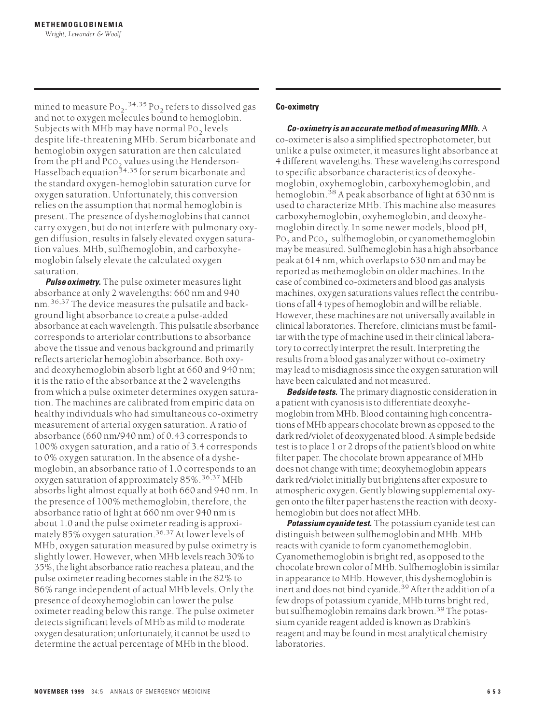mined to measure Po<sub>2</sub>.<sup>34,35</sup> Po<sub>2</sub> refers to dissolved gas and not to oxygen molecules bound to hemoglobin. Subjects with MHb may have normal Po<sub>2</sub> levels despite life-threatening MHb. Serum bicarbonate and hemoglobin oxygen saturation are then calculated from the pH and  $PCO<sub>2</sub>$  values using the Henderson-Hasselbach equation<sup>34,35</sup> for serum bicarbonate and the standard oxygen-hemoglobin saturation curve for oxygen saturation. Unfortunately, this conversion relies on the assumption that normal hemoglobin is present. The presence of dyshemoglobins that cannot carry oxygen, but do not interfere with pulmonary oxygen diffusion, results in falsely elevated oxygen saturation values. MHb, sulfhemoglobin, and carboxyhemoglobin falsely elevate the calculated oxygen saturation.

**Pulse oximetry.** The pulse oximeter measures light absorbance at only 2 wavelengths: 660 nm and 940 nm.36,37 The device measures the pulsatile and background light absorbance to create a pulse-added absorbance at each wavelength. This pulsatile absorbance corresponds to arteriolar contributions to absorbance above the tissue and venous background and primarily reflects arteriolar hemoglobin absorbance. Both oxyand deoxyhemoglobin absorb light at 660 and 940 nm; it is the ratio of the absorbance at the 2 wavelengths from which a pulse oximeter determines oxygen saturation. The machines are calibrated from empiric data on healthy individuals who had simultaneous co-oximetry measurement of arterial oxygen saturation. A ratio of absorbance (660 nm/940 nm) of 0.43 corresponds to 100% oxygen saturation, and a ratio of 3.4 corresponds to 0% oxygen saturation. In the absence of a dyshemoglobin, an absorbance ratio of 1.0 corresponds to an oxygen saturation of approximately  $85\%$ .<sup>36,37</sup> MHb absorbs light almost equally at both 660 and 940 nm. In the presence of 100% methemoglobin, therefore, the absorbance ratio of light at 660 nm over 940 nm is about 1.0 and the pulse oximeter reading is approximately 85% oxygen saturation.36,37 At lower levels of MHb, oxygen saturation measured by pulse oximetry is slightly lower. However, when MHb levels reach 30% to 35%, the light absorbance ratio reaches a plateau, and the pulse oximeter reading becomes stable in the 82% to 86% range independent of actual MHb levels. Only the presence of deoxyhemoglobin can lower the pulse oximeter reading below this range. The pulse oximeter detects significant levels of MHb as mild to moderate oxygen desaturation; unfortunately, it cannot be used to determine the actual percentage of MHb in the blood.

#### **Co-oximetry**

**Co-oximetry is an accurate method of measuring MHb.** A co-oximeter is also a simplified spectrophotometer, but unlike a pulse oximeter, it measures light absorbance at 4 different wavelengths. These wavelengths correspond to specific absorbance characteristics of deoxyhemoglobin, oxyhemoglobin, carboxyhemoglobin, and hemoglobin.<sup>38</sup> A peak absorbance of light at 630 nm is used to characterize MHb. This machine also measures carboxyhemoglobin, oxyhemoglobin, and deoxyhemoglobin directly. In some newer models, blood pH,  $P_0$  and  $P_0$ , sulfhemoglobin, or cyanomethemoglobin may be measured. Sulfhemoglobin has a high absorbance peak at 614 nm, which overlaps to 630 nm and may be reported as methemoglobin on older machines. In the case of combined co-oximeters and blood gas analysis machines, oxygen saturations values reflect the contributions of all 4 types of hemoglobin and will be reliable. However, these machines are not universally available in clinical laboratories. Therefore, clinicians must be familiar with the type of machine used in their clinical laboratory to correctly interpret the result. Interpreting the results from a blood gas analyzer without co-oximetry may lead to misdiagnosis since the oxygen saturation will have been calculated and not measured.

**Bedside tests.** The primary diagnostic consideration in a patient with cyanosis is to differentiate deoxyhemoglobin from MHb. Blood containing high concentrations of MHb appears chocolate brown as opposed to the dark red/violet of deoxygenated blood. A simple bedside test is to place 1 or 2 drops of the patient's blood on white filter paper. The chocolate brown appearance of MHb does not change with time; deoxyhemoglobin appears dark red/violet initially but brightens after exposure to atmospheric oxygen. Gently blowing supplemental oxygen onto the filter paper hastens the reaction with deoxyhemoglobin but does not affect MHb.

**Potassium cyanide test.** The potassium cyanide test can distinguish between sulfhemoglobin and MHb. MHb reacts with cyanide to form cyanomethemoglobin. Cyanomethemoglobin is bright red, as opposed to the chocolate brown color of MHb. Sulfhemoglobin is similar in appearance to MHb. However, this dyshemoglobin is inert and does not bind cyanide.<sup>39</sup> After the addition of a few drops of potassium cyanide, MHb turns bright red, but sulfhemoglobin remains dark brown.<sup>39</sup> The potassium cyanide reagent added is known as Drabkin's reagent and may be found in most analytical chemistry laboratories.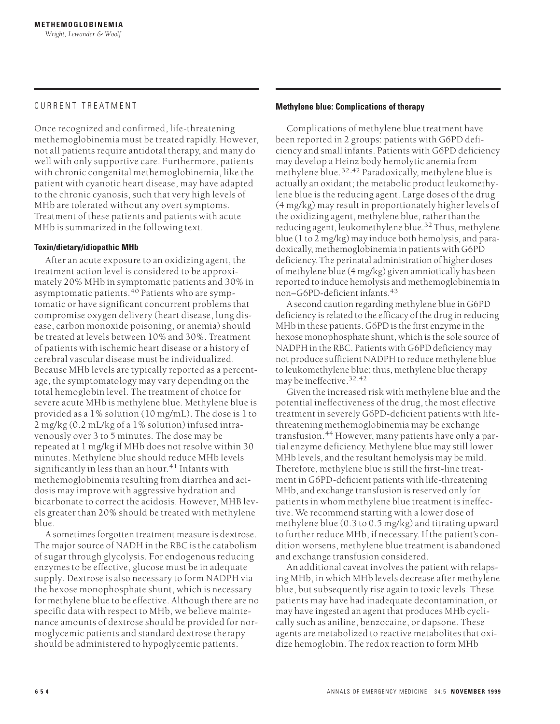# CURRENT TREATMENT

Once recognized and confirmed, life-threatening methemoglobinemia must be treated rapidly. However, not all patients require antidotal therapy, and many do well with only supportive care. Furthermore, patients with chronic congenital methemoglobinemia, like the patient with cyanotic heart disease, may have adapted to the chronic cyanosis, such that very high levels of MHb are tolerated without any overt symptoms. Treatment of these patients and patients with acute MHb is summarized in the following text.

#### **Toxin/dietary/idiopathic MHb**

After an acute exposure to an oxidizing agent, the treatment action level is considered to be approximately 20% MHb in symptomatic patients and 30% in asymptomatic patients.<sup>40</sup> Patients who are symptomatic or have significant concurrent problems that compromise oxygen delivery (heart disease, lung disease, carbon monoxide poisoning, or anemia) should be treated at levels between 10% and 30%. Treatment of patients with ischemic heart disease or a history of cerebral vascular disease must be individualized. Because MHb levels are typically reported as a percentage, the symptomatology may vary depending on the total hemoglobin level. The treatment of choice for severe acute MHb is methylene blue. Methylene blue is provided as a 1% solution (10 mg/mL). The dose is 1 to 2 mg/kg (0.2 mL/kg of a 1% solution) infused intravenously over 3 to 5 minutes*.* The dose may be repeated at 1 mg/kg if MHb does not resolve within 30 minutes. Methylene blue should reduce MHb levels significantly in less than an hour.<sup>41</sup> Infants with methemoglobinemia resulting from diarrhea and acidosis may improve with aggressive hydration and bicarbonate to correct the acidosis. However, MHB levels greater than 20% should be treated with methylene blue.

A sometimes forgotten treatment measure is dextrose. The major source of NADH in the RBC is the catabolism of sugar through glycolysis. For endogenous reducing enzymes to be effective, glucose must be in adequate supply*.* Dextrose is also necessary to form NADPH via the hexose monophosphate shunt, which is necessary for methylene blue to be effective. Although there are no specific data with respect to MHb, we believe maintenance amounts of dextrose should be provided for normoglycemic patients and standard dextrose therapy should be administered to hypoglycemic patients.

#### **Methylene blue: Complications of therapy**

Complications of methylene blue treatment have been reported in 2 groups: patients with G6PD deficiency and small infants. Patients with G6PD deficiency may develop a Heinz body hemolytic anemia from methylene blue.32,42 Paradoxically, methylene blue is actually an oxidant; the metabolic product leukomethylene blue is the reducing agent. Large doses of the drug (4 mg/kg) may result in proportionately higher levels of the oxidizing agent, methylene blue, rather than the reducing agent, leukomethylene blue.<sup>32</sup> Thus, methylene blue (1 to 2 mg/kg) may induce both hemolysis, and paradoxically, methemoglobinemia in patients with G6PD deficiency. The perinatal administration of higher doses of methylene blue (4 mg/kg) given amniotically has been reported to induce hemolysis and methemoglobinemia in non–G6PD-deficient infants.<sup>43</sup>

A second caution regarding methylene blue in G6PD deficiency is related to the efficacy of the drug in reducing MHb in these patients. G6PD is the first enzyme in the hexose monophosphate shunt, which is the sole source of NADPH in the RBC. Patients with G6PD deficiency may not produce sufficient NADPH to reduce methylene blue to leukomethylene blue; thus, methylene blue therapy may be ineffective.32,42

Given the increased risk with methylene blue and the potential ineffectiveness of the drug, the most effective treatment in severely G6PD-deficient patients with lifethreatening methemoglobinemia may be exchange transfusion.<sup>44</sup> However, many patients have only a partial enzyme deficiency. Methylene blue may still lower MHb levels, and the resultant hemolysis may be mild. Therefore, methylene blue is still the first-line treatment in G6PD-deficient patients with life-threatening MHb, and exchange transfusion is reserved only for patients in whom methylene blue treatment is ineffective. We recommend starting with a lower dose of methylene blue (0.3 to 0.5 mg/kg) and titrating upward to further reduce MHb, if necessary. If the patient's condition worsens, methylene blue treatment is abandoned and exchange transfusion considered.

An additional caveat involves the patient with relapsing MHb, in which MHb levels decrease after methylene blue, but subsequently rise again to toxic levels. These patients may have had inadequate decontamination, or may have ingested an agent that produces MHb cyclically such as aniline, benzocaine, or dapsone. These agents are metabolized to reactive metabolites that oxidize hemoglobin. The redox reaction to form MHb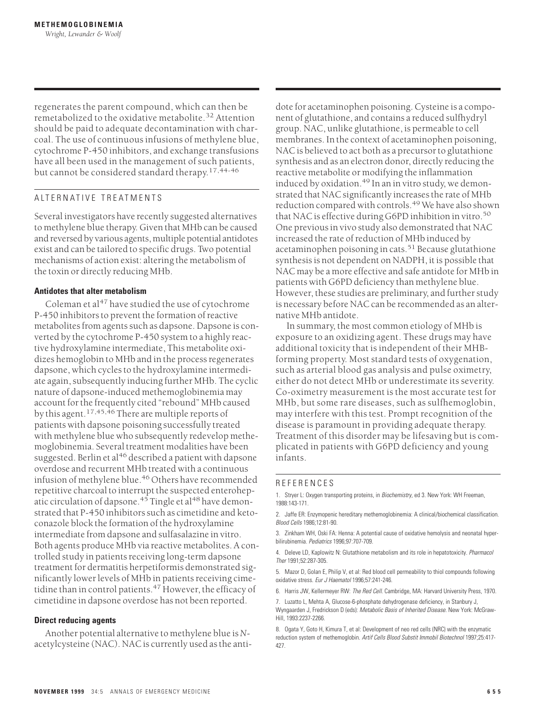regenerates the parent compound, which can then be remetabolized to the oxidative metabolite.<sup>32</sup> Attention should be paid to adequate decontamination with charcoal. The use of continuous infusions of methylene blue, cytochrome P-450 inhibitors, and exchange transfusions have all been used in the management of such patients, but cannot be considered standard therapy.17,44-46

# ALTERNATIVE TREATMENTS

Several investigators have recently suggested alternatives to methylene blue therapy. Given that MHb can be caused and reversed by various agents, multiple potential antidotes exist and can be tailored to specific drugs. Two potential mechanisms of action exist: altering the metabolism of the toxin or directly reducing MHb.

#### **Antidotes that alter metabolism**

Coleman et al $47$  have studied the use of cytochrome P-450 inhibitors to prevent the formation of reactive metabolites from agents such as dapsone. Dapsone is converted by the cytochrome P-450 system to a highly reactive hydroxylamine intermediate, This metabolite oxidizes hemoglobin to MHb and in the process regenerates dapsone, which cycles to the hydroxylamine intermediate again, subsequently inducing further MHb. The cyclic nature of dapsone-induced methemoglobinemia may account for the frequently cited "rebound" MHb caused by this agent.17,45,46 There are multiple reports of patients with dapsone poisoning successfully treated with methylene blue who subsequently redevelop methemoglobinemia. Several treatment modalities have been suggested. Berlin et al<sup>46</sup> described a patient with dapsone overdose and recurrent MHb treated with a continuous infusion of methylene blue.<sup>46</sup> Others have recommended repetitive charcoal to interrupt the suspected enterohepatic circulation of dapsone.<sup>45</sup> Tingle et al<sup>48</sup> have demonstrated that P-450 inhibitors such as cimetidine and ketoconazole block the formation of the hydroxylamine intermediate from dapsone and sulfasalazine in vitro. Both agents produce MHb via reactive metabolites. A controlled study in patients receiving long-term dapsone treatment for dermatitis herpetiformis demonstrated significantly lower levels of MHb in patients receiving cimetidine than in control patients.<sup>47</sup> However, the efficacy of cimetidine in dapsone overdose has not been reported.

#### **Direct reducing agents**

Another potential alternative to methylene blue is *N*acetylcysteine (NAC). NAC is currently used as the anti-

dote for acetaminophen poisoning. Cysteine is a component of glutathione, and contains a reduced sulfhydryl group. NAC, unlike glutathione, is permeable to cell membranes. In the context of acetaminophen poisoning, NAC is believed to act both as a precursor to glutathione synthesis and as an electron donor, directly reducing the reactive metabolite or modifying the inflammation induced by oxidation.<sup>49</sup> In an in vitro study, we demonstrated that NAC significantly increases the rate of MHb reduction compared with controls.49We have also shown that NAC is effective during G6PD inhibition in vitro.<sup>50</sup> One previous in vivo study also demonstrated that NAC increased the rate of reduction of MHb induced by acetaminophen poisoning in cats.<sup>51</sup> Because glutathione synthesis is not dependent on NADPH, it is possible that NAC may be a more effective and safe antidote for MHb in patients with G6PD deficiency than methylene blue. However, these studies are preliminary, and further study is necessary before NAC can be recommended as an alternative MHb antidote.

In summary, the most common etiology of MHb is exposure to an oxidizing agent. These drugs may have additional toxicity that is independent of their MHBforming property. Most standard tests of oxygenation, such as arterial blood gas analysis and pulse oximetry, either do not detect MHb or underestimate its severity. Co-oximetry measurement is the most accurate test for MHb, but some rare diseases, such as sulfhemoglobin, may interfere with this test. Prompt recognition of the disease is paramount in providing adequate therapy. Treatment of this disorder may be lifesaving but is complicated in patients with G6PD deficiency and young infants.

#### REFERENCES

1. Stryer L: Oxygen transporting proteins, in Biochemistry, ed 3. New York: WH Freeman, 1988:143-171.

2. Jaffe ER: Enzymopenic hereditary methemoglobinemia: A clinical/biochemical classification. Blood Cells 1986;12:81-90.

3. Zinkham WH, Oski FA: Henna: A potential cause of oxidative hemolysis and neonatal hyperbilirubinemia. Pediatrics 1996;97:707-709.

4. Deleve LD, Kaplowitz N: Glutathione metabolism and its role in hepatotoxicity. Pharmacol Ther 1991;52:287-305.

5. Mazor D, Golan E, Philip V, et al: Red blood cell permeability to thiol compounds following oxidative stress. Eur J Haematol 1996;57:241-246.

6. Harris JW, Kellermeyer RW: The Red Cell. Cambridge, MA: Harvard University Press, 1970.

7. Luzatto L, Mehta A, Glucose-6-phosphate dehydrogenase deficiency, in Stanbury J, Wyngaarden J, Fredrickson D (eds): Metabolic Basis of Inherited Disease. New York: McGraw-Hill, 1993:2237-2266.

8. Ogata Y, Goto H, Kimura T, et al: Development of neo red cells (NRC) with the enzymatic reduction system of methemoglobin. Artif Cells Blood Substit Immobil Biotechnol 1997;25:417- 427.